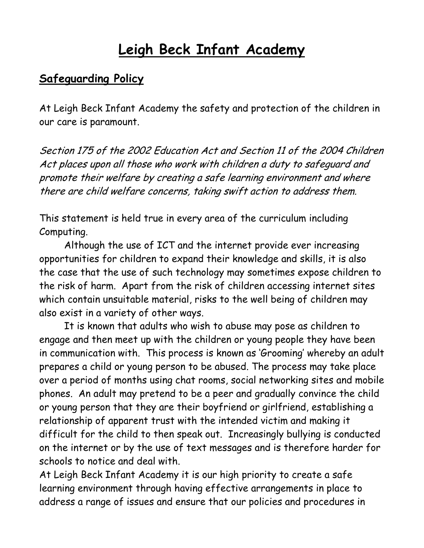## **Leigh Beck Infant Academy**

## **Safeguarding Policy**

At Leigh Beck Infant Academy the safety and protection of the children in our care is paramount.

Section 175 of the 2002 Education Act and Section 11 of the 2004 Children Act places upon all those who work with children a duty to safeguard and promote their welfare by creating a safe learning environment and where there are child welfare concerns, taking swift action to address them.

This statement is held true in every area of the curriculum including Computing.

Although the use of ICT and the internet provide ever increasing opportunities for children to expand their knowledge and skills, it is also the case that the use of such technology may sometimes expose children to the risk of harm. Apart from the risk of children accessing internet sites which contain unsuitable material, risks to the well being of children may also exist in a variety of other ways.

It is known that adults who wish to abuse may pose as children to engage and then meet up with the children or young people they have been in communication with. This process is known as 'Grooming' whereby an adult prepares a child or young person to be abused. The process may take place over a period of months using chat rooms, social networking sites and mobile phones. An adult may pretend to be a peer and gradually convince the child or young person that they are their boyfriend or girlfriend, establishing a relationship of apparent trust with the intended victim and making it difficult for the child to then speak out. Increasingly bullying is conducted on the internet or by the use of text messages and is therefore harder for schools to notice and deal with.

At Leigh Beck Infant Academy it is our high priority to create a safe learning environment through having effective arrangements in place to address a range of issues and ensure that our policies and procedures in